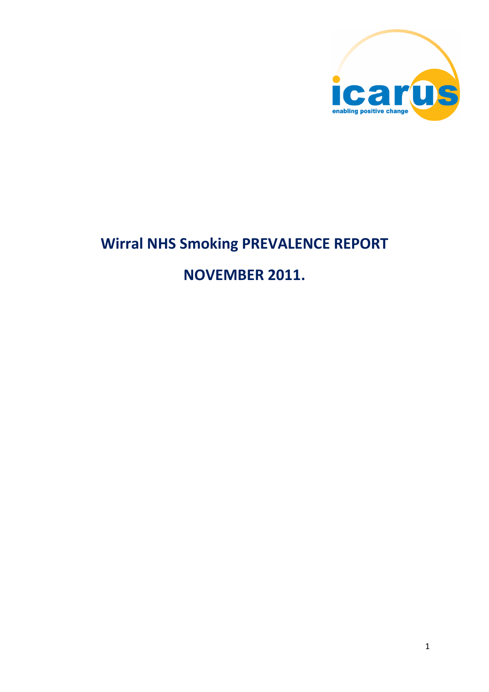

# **Wirral NHS Smoking PREVALENCE REPORT**

# **NOVEMBER 2011.**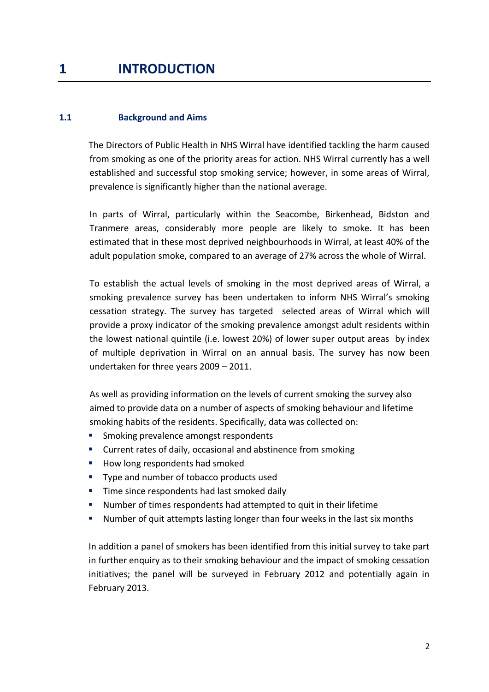## **1 INTRODUCTION**

### **1.1 Background and Aims**

The Directors of Public Health in NHS Wirral have identified tackling the harm caused from smoking as one of the priority areas for action. NHS Wirral currently has a well established and successful stop smoking service; however, in some areas of Wirral, prevalence is significantly higher than the national average.

In parts of Wirral, particularly within the Seacombe, Birkenhead, Bidston and Tranmere areas, considerably more people are likely to smoke. It has been estimated that in these most deprived neighbourhoods in Wirral, at least 40% of the adult population smoke, compared to an average of 27% across the whole of Wirral.

To establish the actual levels of smoking in the most deprived areas of Wirral, a smoking prevalence survey has been undertaken to inform NHS Wirral's smoking cessation strategy. The survey has targeted selected areas of Wirral which will provide a proxy indicator of the smoking prevalence amongst adult residents within the lowest national quintile (i.e. lowest 20%) of lower super output areas by index of multiple deprivation in Wirral on an annual basis. The survey has now been undertaken for three years 2009 – 2011.

As well as providing information on the levels of current smoking the survey also aimed to provide data on a number of aspects of smoking behaviour and lifetime smoking habits of the residents. Specifically, data was collected on:

- Smoking prevalence amongst respondents
- **E** Current rates of daily, occasional and abstinence from smoking
- How long respondents had smoked
- Type and number of tobacco products used
- **Time since respondents had last smoked daily**
- Number of times respondents had attempted to quit in their lifetime
- Number of quit attempts lasting longer than four weeks in the last six months

In addition a panel of smokers has been identified from this initial survey to take part in further enquiry as to their smoking behaviour and the impact of smoking cessation initiatives; the panel will be surveyed in February 2012 and potentially again in February 2013.

2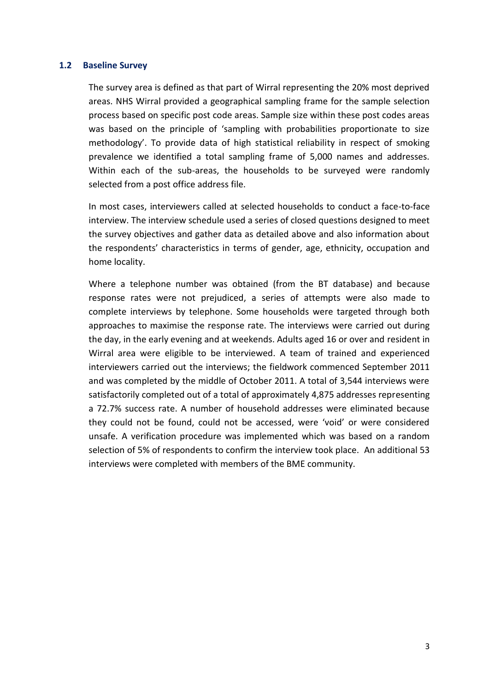#### **1.2 Baseline Survey**

The survey area is defined as that part of Wirral representing the 20% most deprived areas. NHS Wirral provided a geographical sampling frame for the sample selection process based on specific post code areas. Sample size within these post codes areas was based on the principle of 'sampling with probabilities proportionate to size methodology'. To provide data of high statistical reliability in respect of smoking prevalence we identified a total sampling frame of 5,000 names and addresses. Within each of the sub-areas, the households to be surveyed were randomly selected from a post office address file.

In most cases, interviewers called at selected households to conduct a face-to-face interview. The interview schedule used a series of closed questions designed to meet the survey objectives and gather data as detailed above and also information about the respondents' characteristics in terms of gender, age, ethnicity, occupation and home locality.

Where a telephone number was obtained (from the BT database) and because response rates were not prejudiced, a series of attempts were also made to complete interviews by telephone. Some households were targeted through both approaches to maximise the response rate. The interviews were carried out during the day, in the early evening and at weekends. Adults aged 16 or over and resident in Wirral area were eligible to be interviewed. A team of trained and experienced interviewers carried out the interviews; the fieldwork commenced September 2011 and was completed by the middle of October 2011. A total of 3,544 interviews were satisfactorily completed out of a total of approximately 4,875 addresses representing a 72.7% success rate. A number of household addresses were eliminated because they could not be found, could not be accessed, were 'void' or were considered unsafe. A verification procedure was implemented which was based on a random selection of 5% of respondents to confirm the interview took place. An additional 53 interviews were completed with members of the BME community.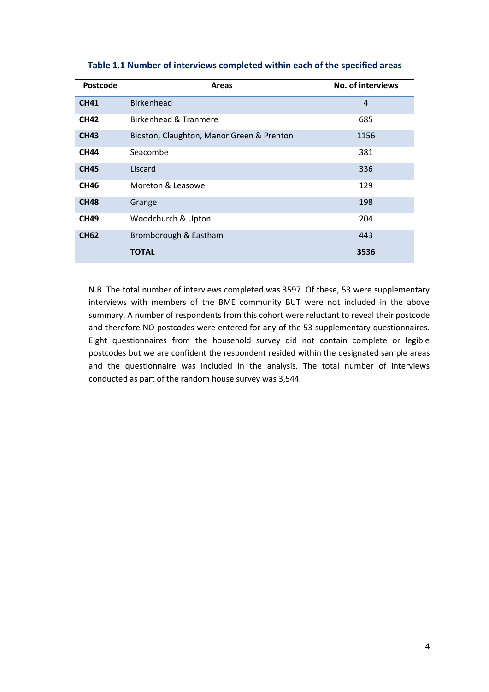| Postcode    | <b>Areas</b>                              | No. of interviews |
|-------------|-------------------------------------------|-------------------|
| <b>CH41</b> | <b>Birkenhead</b>                         | $\overline{4}$    |
| <b>CH42</b> | Birkenhead & Tranmere                     | 685               |
| <b>CH43</b> | Bidston, Claughton, Manor Green & Prenton | 1156              |
| <b>CH44</b> | Seacombe                                  | 381               |
| <b>CH45</b> | Liscard                                   | 336               |
| <b>CH46</b> | Moreton & Leasowe                         | 129               |
| <b>CH48</b> | Grange                                    | 198               |
| <b>CH49</b> | Woodchurch & Upton                        | 204               |
| <b>CH62</b> | Bromborough & Eastham                     | 443               |
|             | <b>TOTAL</b>                              | 3536              |

#### **Table 1.1 Number of interviews completed within each of the specified areas**

N.B. The total number of interviews completed was 3597. Of these, 53 were supplementary interviews with members of the BME community BUT were not included in the above summary. A number of respondents from this cohort were reluctant to reveal their postcode and therefore NO postcodes were entered for any of the 53 supplementary questionnaires. Eight questionnaires from the household survey did not contain complete or legible postcodes but we are confident the respondent resided within the designated sample areas and the questionnaire was included in the analysis. The total number of interviews conducted as part of the random house survey was 3,544.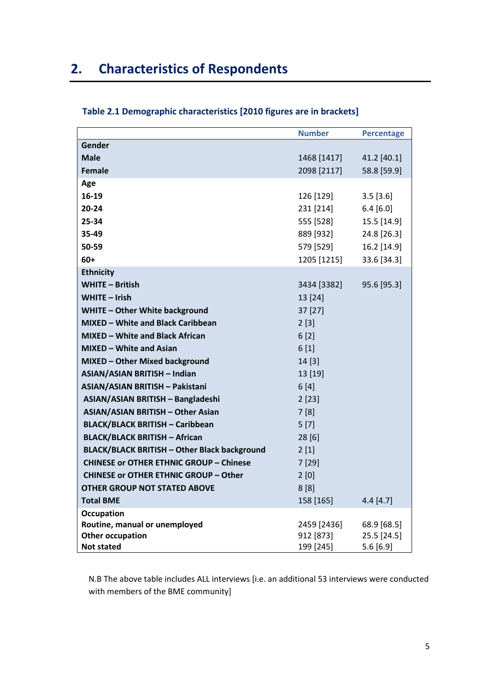# **2. Characteristics of Respondents**

|                                                     | <b>Number</b> | <b>Percentage</b> |
|-----------------------------------------------------|---------------|-------------------|
| Gender                                              |               |                   |
| <b>Male</b>                                         | 1468 [1417]   | 41.2 [40.1]       |
| Female                                              | 2098 [2117]   | 58.8 [59.9]       |
| Age                                                 |               |                   |
| 16-19                                               | 126 [129]     | 3.5[3.6]          |
| $20 - 24$                                           | 231 [214]     | 6.4 [6.0]         |
| 25-34                                               | 555 [528]     | 15.5 [14.9]       |
| 35-49                                               | 889 [932]     | 24.8 [26.3]       |
| 50-59                                               | 579 [529]     | 16.2 [14.9]       |
| $60+$                                               | 1205 [1215]   | 33.6 [34.3]       |
| <b>Ethnicity</b>                                    |               |                   |
| <b>WHITE - British</b>                              | 3434 [3382]   | 95.6 [95.3]       |
| WHITE - Irish                                       | 13 [24]       |                   |
| WHITE - Other White background                      | 37 [27]       |                   |
| <b>MIXED - White and Black Caribbean</b>            | 2[3]          |                   |
| <b>MIXED - White and Black African</b>              | 6[2]          |                   |
| MIXED - White and Asian                             | 6[1]          |                   |
| MIXED - Other Mixed background                      | 14[3]         |                   |
| <b>ASIAN/ASIAN BRITISH - Indian</b>                 | 13 [19]       |                   |
| ASIAN/ASIAN BRITISH - Pakistani                     | 6[4]          |                   |
| ASIAN/ASIAN BRITISH - Bangladeshi                   | 2[23]         |                   |
| <b>ASIAN/ASIAN BRITISH - Other Asian</b>            | 7[8]          |                   |
| <b>BLACK/BLACK BRITISH - Caribbean</b>              | 5[7]          |                   |
| <b>BLACK/BLACK BRITISH - African</b>                | 28[6]         |                   |
| <b>BLACK/BLACK BRITISH - Other Black background</b> | 2[1]          |                   |
| <b>CHINESE or OTHER ETHNIC GROUP - Chinese</b>      | 7[29]         |                   |
| <b>CHINESE or OTHER ETHNIC GROUP - Other</b>        | 2[0]          |                   |
| <b>OTHER GROUP NOT STATED ABOVE</b>                 | 8[8]          |                   |
| <b>Total BME</b>                                    | 158 [165]     | 4.4 [4.7]         |
| <b>Occupation</b>                                   |               |                   |
| Routine, manual or unemployed                       | 2459 [2436]   | 68.9 [68.5]       |
| <b>Other occupation</b>                             | 912 [873]     | 25.5 [24.5]       |
| <b>Not stated</b>                                   | 199 [245]     | 5.6 [6.9]         |

## **Table 2.1 Demographic characteristics [2010 figures are in brackets]**

N.B The above table includes ALL interviews [i.e. an additional 53 interviews were conducted with members of the BME community]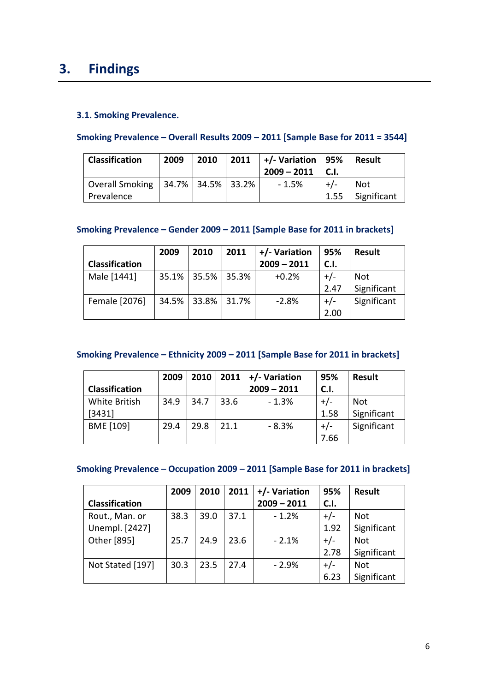## **3. Findings**

## **3.1. Smoking Prevalence.**

### **Smoking Prevalence – Overall Results 2009 – 2011 [Sample Base for 2011 = 3544]**

| <b>Classification</b>                                 | 2009 | 2010 | 2011 | $+/-$ Variation   95%<br>$2009 - 2011$ |      | Result                    |
|-------------------------------------------------------|------|------|------|----------------------------------------|------|---------------------------|
| Overall Smoking   34.7%   34.5%   33.2%<br>Prevalence |      |      |      | $-1.5%$                                | 1.55 | <b>Not</b><br>Significant |

## **Smoking Prevalence – Gender 2009 – 2011 [Sample Base for 2011 in brackets]**

|                       | 2009 | 2010              | 2011 | +/- Variation | 95%   | Result      |
|-----------------------|------|-------------------|------|---------------|-------|-------------|
| <b>Classification</b> |      |                   |      | $2009 - 2011$ | C.I.  |             |
| Male [1441]           |      | 35.1% 35.5% 35.3% |      | $+0.2%$       | $+/-$ | Not         |
|                       |      |                   |      |               | 2.47  | Significant |
| Female [2076]         |      | 34.5% 33.8% 31.7% |      | $-2.8%$       | $+/-$ | Significant |
|                       |      |                   |      |               | 2.00  |             |

## **Smoking Prevalence – Ethnicity 2009 – 2011 [Sample Base for 2011 in brackets]**

|                | 2009 | 2010 | 2011 | +/- Variation | 95%   | <b>Result</b> |
|----------------|------|------|------|---------------|-------|---------------|
| Classification |      |      |      | $2009 - 2011$ | C.I.  |               |
| White British  | 34.9 | 34.7 | 33.6 | $-1.3%$       | $+/-$ | <b>Not</b>    |
| [3431]         |      |      |      |               | 1.58  | Significant   |
| BME [109]      | 29.4 | 29.8 | 21.1 | - 8.3%        | $+/-$ | Significant   |
|                |      |      |      |               | 7.66  |               |

## **Smoking Prevalence – Occupation 2009 – 2011 [Sample Base for 2011 in brackets]**

|                       | 2009 | 2010 | 2011 | +/- Variation | 95%   | <b>Result</b> |
|-----------------------|------|------|------|---------------|-------|---------------|
| <b>Classification</b> |      |      |      | $2009 - 2011$ | C.1.  |               |
| Rout., Man. or        | 38.3 | 39.0 | 37.1 | $-1.2%$       | $+/-$ | Not           |
| Unempl. [2427]        |      |      |      |               | 1.92  | Significant   |
| Other [895]           | 25.7 | 24.9 | 23.6 | $-2.1%$       | $+/-$ | <b>Not</b>    |
|                       |      |      |      |               | 2.78  | Significant   |
| Not Stated [197]      | 30.3 | 23.5 | 27.4 | $-2.9%$       | $+/-$ | <b>Not</b>    |
|                       |      |      |      |               | 6.23  | Significant   |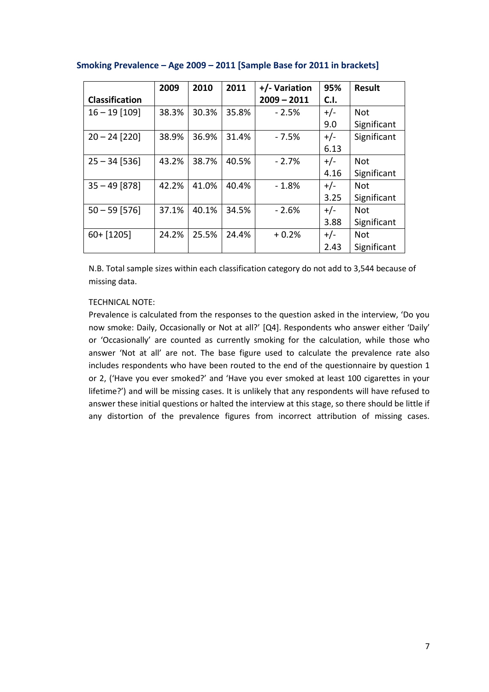|                       | 2009  | 2010  | 2011  | +/- Variation | 95%   | <b>Result</b> |
|-----------------------|-------|-------|-------|---------------|-------|---------------|
| <b>Classification</b> |       |       |       | $2009 - 2011$ | C.I.  |               |
| $16 - 19$ [109]       | 38.3% | 30.3% | 35.8% | $-2.5%$       | $+/-$ | <b>Not</b>    |
|                       |       |       |       |               | 9.0   | Significant   |
| $20 - 24$ [220]       | 38.9% | 36.9% | 31.4% | $-7.5%$       | $+/-$ | Significant   |
|                       |       |       |       |               | 6.13  |               |
| $25 - 34$ [536]       | 43.2% | 38.7% | 40.5% | $-2.7%$       | $+/-$ | <b>Not</b>    |
|                       |       |       |       |               | 4.16  | Significant   |
| $35 - 49$ [878]       | 42.2% | 41.0% | 40.4% | $-1.8\%$      | $+/-$ | <b>Not</b>    |
|                       |       |       |       |               | 3.25  | Significant   |
| $50 - 59$ [576]       | 37.1% | 40.1% | 34.5% | $-2.6%$       | $+/-$ | <b>Not</b>    |
|                       |       |       |       |               | 3.88  | Significant   |
| $60 + [1205]$         | 24.2% | 25.5% | 24.4% | $+0.2%$       | $+/-$ | Not           |
|                       |       |       |       |               | 2.43  | Significant   |

### **Smoking Prevalence – Age 2009 – 2011 [Sample Base for 2011 in brackets]**

N.B. Total sample sizes within each classification category do not add to 3,544 because of missing data.

#### TECHNICAL NOTE:

Prevalence is calculated from the responses to the question asked in the interview, 'Do you now smoke: Daily, Occasionally or Not at all?' [Q4]. Respondents who answer either 'Daily' or 'Occasionally' are counted as currently smoking for the calculation, while those who answer 'Not at all' are not. The base figure used to calculate the prevalence rate also includes respondents who have been routed to the end of the questionnaire by question 1 or 2, ('Have you ever smoked?' and 'Have you ever smoked at least 100 cigarettes in your lifetime?') and will be missing cases. It is unlikely that any respondents will have refused to answer these initial questions or halted the interview at this stage, so there should be little if any distortion of the prevalence figures from incorrect attribution of missing cases.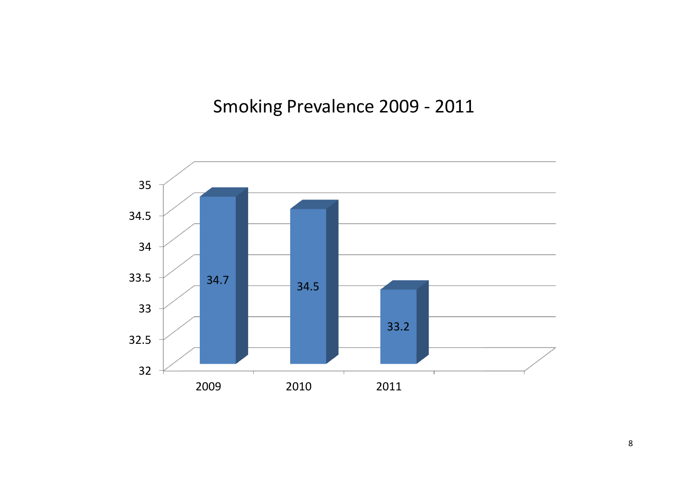# Smoking Prevalence 2009 - 2011

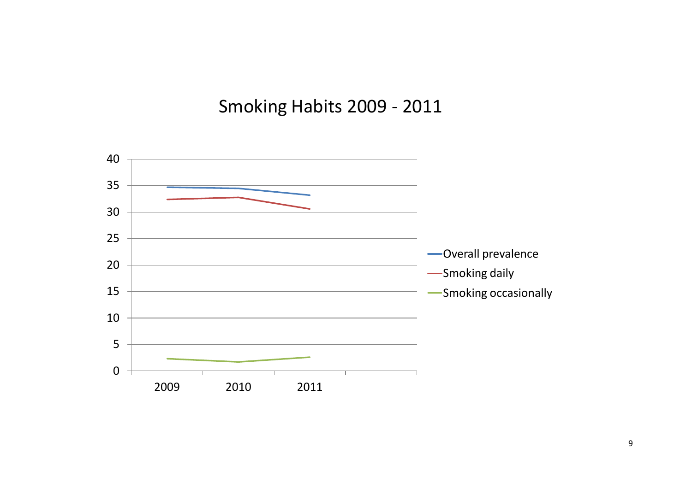# Smoking Habits 2009 - 2011

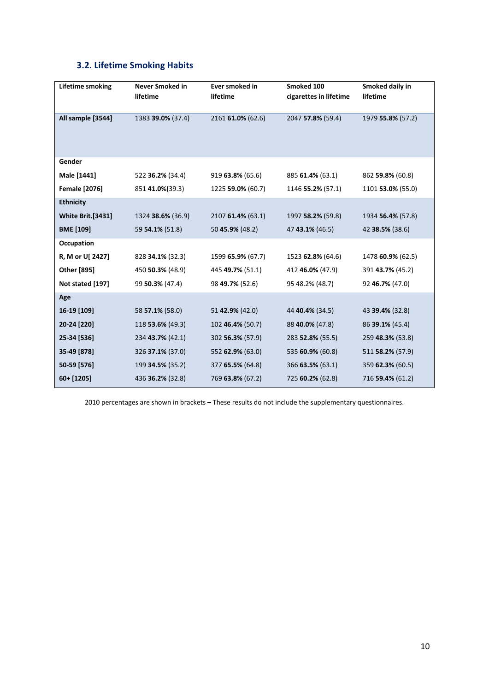## **3.2. Lifetime Smoking Habits**

| <b>Lifetime smoking</b>  | <b>Never Smoked in</b><br>lifetime | Ever smoked in<br>lifetime | Smoked 100<br>cigarettes in lifetime | Smoked daily in<br>lifetime |
|--------------------------|------------------------------------|----------------------------|--------------------------------------|-----------------------------|
| All sample [3544]        | 1383 39.0% (37.4)                  | 2161 61.0% (62.6)          | 2047 57.8% (59.4)                    | 1979 55.8% (57.2)           |
| Gender                   |                                    |                            |                                      |                             |
| Male [1441]              | 522 36.2% (34.4)                   | 919 63.8% (65.6)           | 885 61.4% (63.1)                     | 862 59.8% (60.8)            |
| <b>Female [2076]</b>     | 851 41.0%(39.3)                    | 1225 59.0% (60.7)          | 1146 55.2% (57.1)                    | 1101 53.0% (55.0)           |
| <b>Ethnicity</b>         |                                    |                            |                                      |                             |
| <b>White Brit.[3431]</b> | 1324 38.6% (36.9)                  | 2107 61.4% (63.1)          | 1997 58.2% (59.8)                    | 1934 56.4% (57.8)           |
| <b>BME</b> [109]         | 59 54.1% (51.8)                    | 50 45.9% (48.2)            | 47 43.1% (46.5)                      | 42 38.5% (38.6)             |
| Occupation               |                                    |                            |                                      |                             |
| R, M or U[ 2427]         | 828 34.1% (32.3)                   | 1599 65.9% (67.7)          | 1523 62.8% (64.6)                    | 1478 60.9% (62.5)           |
| Other [895]              | 450 50.3% (48.9)                   | 445 49.7% (51.1)           | 412 46.0% (47.9)                     | 391 43.7% (45.2)            |
| Not stated [197]         | 99 50.3% (47.4)                    | 98 49.7% (52.6)            | 95 48.2% (48.7)                      | 92 46.7% (47.0)             |
| Age                      |                                    |                            |                                      |                             |
| 16-19 [109]              | 58 <b>57.1%</b> (58.0)             | 51 42.9% (42.0)            | 44 40.4% (34.5)                      | 43 39.4% (32.8)             |
| 20-24 [220]              | 118 53.6% (49.3)                   | 102 46.4% (50.7)           | 88 40.0% (47.8)                      | 86 39.1% (45.4)             |
| 25-34 [536]              | 234 43.7% (42.1)                   | 302 56.3% (57.9)           | 283 52.8% (55.5)                     | 259 48.3% (53.8)            |
| 35-49 [878]              | 326 37.1% (37.0)                   | 552 62.9% (63.0)           | 535 60.9% (60.8)                     | 511 58.2% (57.9)            |
| 50-59 [576]              | 199 34.5% (35.2)                   | 377 65.5% (64.8)           | 366 63.5% (63.1)                     | 359 62.3% (60.5)            |
| 60+ [1205]               | 436 36.2% (32.8)                   | 769 63.8% (67.2)           | 725 60.2% (62.8)                     | 716 59.4% (61.2)            |

2010 percentages are shown in brackets – These results do not include the supplementary questionnaires.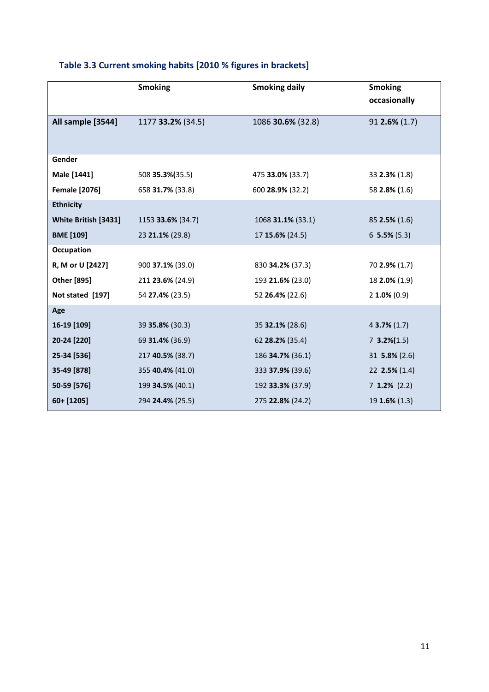|                      | <b>Smoking</b>    | <b>Smoking daily</b>   | <b>Smoking</b><br>occasionally |
|----------------------|-------------------|------------------------|--------------------------------|
| All sample [3544]    | 1177 33.2% (34.5) | 1086 30.6% (32.8)      | $91$ 2.6% (1.7)                |
|                      |                   |                        |                                |
| Gender               |                   |                        |                                |
| Male [1441]          | 508 35.3% (35.5)  | 475 33.0% (33.7)       | 33 2.3% (1.8)                  |
| <b>Female [2076]</b> | 658 31.7% (33.8)  | 600 28.9% (32.2)       | 58 2.8% (1.6)                  |
| <b>Ethnicity</b>     |                   |                        |                                |
| White British [3431] | 1153 33.6% (34.7) | 1068 31.1% (33.1)      | $85$ 2.5% (1.6)                |
| <b>BME</b> [109]     | 23 21.1% (29.8)   | 17 15.6% (24.5)        | $6$ 5.5% (5.3)                 |
| Occupation           |                   |                        |                                |
| R, M or U [2427]     | 900 37.1% (39.0)  | 830 34.2% (37.3)       | 70 2.9% (1.7)                  |
| Other [895]          | 211 23.6% (24.9)  | 193 21.6% (23.0)       | 18 2.0% (1.9)                  |
| Not stated [197]     | 54 27.4% (23.5)   | 52 26.4% (22.6)        | $2$ 1.0% (0.9)                 |
| Age                  |                   |                        |                                |
| 16-19 [109]          | 39 35.8% (30.3)   | 35 <b>32.1%</b> (28.6) | $43.7\%$ (1.7)                 |
| 20-24 [220]          | 69 31.4% (36.9)   | 62 28.2% (35.4)        | $7 \, 3.2\%(1.5)$              |
| 25-34 [536]          | 217 40.5% (38.7)  | 186 34.7% (36.1)       | 31 $5.8\%$ (2.6)               |
| 35-49 [878]          | 355 40.4% (41.0)  | 333 37.9% (39.6)       | 22 2.5% (1.4)                  |
| 50-59 [576]          | 199 34.5% (40.1)  | 192 33.3% (37.9)       | $7$ 1.2% (2.2)                 |
| 60+ [1205]           | 294 24.4% (25.5)  | 275 22.8% (24.2)       | $19$ <b>1.6%</b> (1.3)         |

## **Table 3.3 Current smoking habits [2010 % figures in brackets]**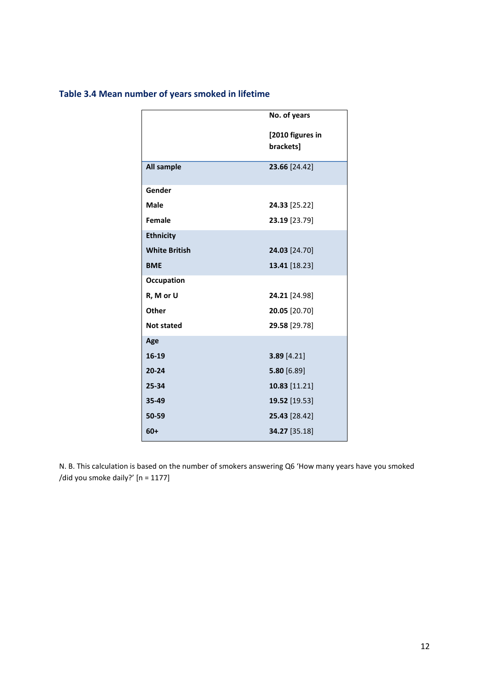## **Table 3.4 Mean number of years smoked in lifetime**

|                      | No. of years                  |
|----------------------|-------------------------------|
|                      | [2010 figures in<br>brackets] |
| <b>All sample</b>    | 23.66 [24.42]                 |
| Gender               |                               |
| Male                 | 24.33 [25.22]                 |
| <b>Female</b>        | 23.19 [23.79]                 |
| <b>Ethnicity</b>     |                               |
| <b>White British</b> | 24.03 [24.70]                 |
| <b>BME</b>           | 13.41 [18.23]                 |
| Occupation           |                               |
| R, M or U            | 24.21 [24.98]                 |
| Other                | 20.05 [20.70]                 |
| <b>Not stated</b>    | 29.58 [29.78]                 |
| Age                  |                               |
| 16-19                | 3.89 [4.21]                   |
| $20 - 24$            | 5.80 [6.89]                   |
| 25-34                | 10.83 [11.21]                 |
| 35-49                | 19.52 [19.53]                 |
| 50-59                | 25.43 [28.42]                 |
| $60+$                | 34.27 [35.18]                 |

N. B. This calculation is based on the number of smokers answering Q6 'How many years have you smoked /did you smoke daily?' [n = 1177]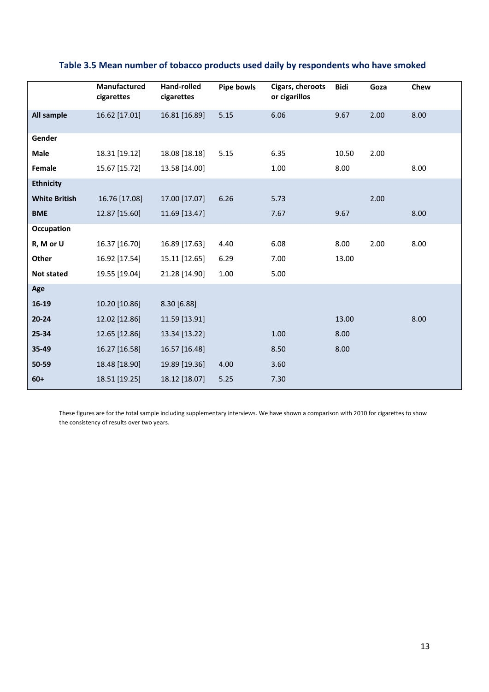|                      | <b>Manufactured</b><br>cigarettes | Hand-rolled<br>cigarettes | Pipe bowls | Cigars, cheroots<br>or cigarillos | <b>Bidi</b> | Goza | Chew |
|----------------------|-----------------------------------|---------------------------|------------|-----------------------------------|-------------|------|------|
| All sample           | 16.62 [17.01]                     | 16.81 [16.89]             | 5.15       | 6.06                              | 9.67        | 2.00 | 8.00 |
| Gender               |                                   |                           |            |                                   |             |      |      |
| Male                 | 18.31 [19.12]                     | 18.08 [18.18]             | 5.15       | 6.35                              | 10.50       | 2.00 |      |
| Female               | 15.67 [15.72]                     | 13.58 [14.00]             |            | 1.00                              | 8.00        |      | 8.00 |
| <b>Ethnicity</b>     |                                   |                           |            |                                   |             |      |      |
| <b>White British</b> | 16.76 [17.08]                     | 17.00 [17.07]             | 6.26       | 5.73                              |             | 2.00 |      |
| <b>BME</b>           | 12.87 [15.60]                     | 11.69 [13.47]             |            | 7.67                              | 9.67        |      | 8.00 |
| Occupation           |                                   |                           |            |                                   |             |      |      |
| R, M or U            | 16.37 [16.70]                     | 16.89 [17.63]             | 4.40       | 6.08                              | 8.00        | 2.00 | 8.00 |
| Other                | 16.92 [17.54]                     | 15.11 [12.65]             | 6.29       | 7.00                              | 13.00       |      |      |
| <b>Not stated</b>    | 19.55 [19.04]                     | 21.28 [14.90]             | 1.00       | 5.00                              |             |      |      |
| Age                  |                                   |                           |            |                                   |             |      |      |
| 16-19                | 10.20 [10.86]                     | 8.30 [6.88]               |            |                                   |             |      |      |
| $20 - 24$            | 12.02 [12.86]                     | 11.59 [13.91]             |            |                                   | 13.00       |      | 8.00 |
| 25-34                | 12.65 [12.86]                     | 13.34 [13.22]             |            | 1.00                              | 8.00        |      |      |
| 35-49                | 16.27 [16.58]                     | 16.57 [16.48]             |            | 8.50                              | 8.00        |      |      |
| 50-59                | 18.48 [18.90]                     | 19.89 [19.36]             | 4.00       | 3.60                              |             |      |      |
| $60+$                | 18.51 [19.25]                     | 18.12 [18.07]             | 5.25       | 7.30                              |             |      |      |

## **Table 3.5 Mean number of tobacco products used daily by respondents who have smoked**

These figures are for the total sample including supplementary interviews. We have shown a comparison with 2010 for cigarettes to show the consistency of results over two years.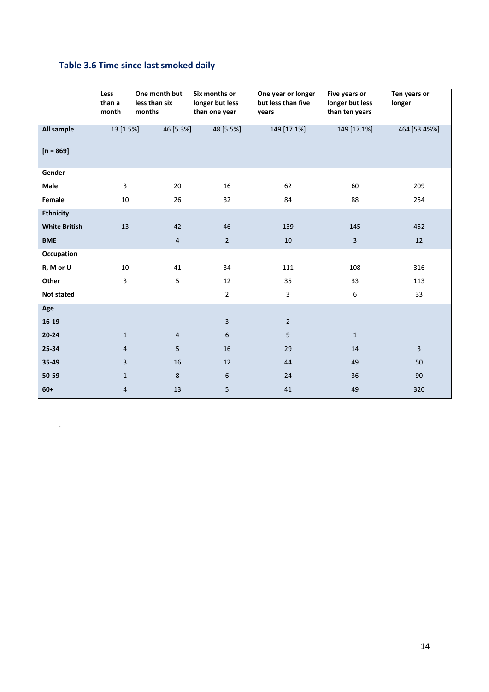## **Table 3.6 Time since last smoked daily**

.

|                      | Less<br>than a<br>month | One month but<br>less than six<br>months | Six months or<br>longer but less<br>than one year | One year or longer<br>but less than five<br>years | Five years or<br>longer but less<br>than ten years | Ten years or<br>longer |
|----------------------|-------------------------|------------------------------------------|---------------------------------------------------|---------------------------------------------------|----------------------------------------------------|------------------------|
| All sample           | 13 [1.5%]               | 46 [5.3%]                                | 48 [5.5%]                                         | 149 [17.1%]                                       | 149 [17.1%]                                        | 464 [53.4%%]           |
| $[n = 869]$          |                         |                                          |                                                   |                                                   |                                                    |                        |
| Gender               |                         |                                          |                                                   |                                                   |                                                    |                        |
| Male                 | 3                       | 20                                       | 16                                                | 62                                                | 60                                                 | 209                    |
| Female               | 10                      | 26                                       | 32                                                | 84                                                | 88                                                 | 254                    |
| <b>Ethnicity</b>     |                         |                                          |                                                   |                                                   |                                                    |                        |
| <b>White British</b> | 13                      | 42                                       | 46                                                | 139                                               | 145                                                | 452                    |
| <b>BME</b>           |                         | $\overline{4}$                           | $\overline{2}$                                    | 10                                                | $\overline{3}$                                     | 12                     |
| Occupation           |                         |                                          |                                                   |                                                   |                                                    |                        |
| R, M or U            | 10                      | 41                                       | 34                                                | 111                                               | 108                                                | 316                    |
| Other                | 3                       | 5                                        | 12                                                | 35                                                | 33                                                 | 113                    |
| <b>Not stated</b>    |                         |                                          | $\overline{2}$                                    | $\mathbf{3}$                                      | 6                                                  | 33                     |
| Age                  |                         |                                          |                                                   |                                                   |                                                    |                        |
| $16-19$              |                         |                                          | $\overline{3}$                                    | $\overline{2}$                                    |                                                    |                        |
| $20 - 24$            | $\mathbf{1}$            | $\overline{4}$                           | $6\phantom{.}6$                                   | $9\,$                                             | $\mathbf{1}$                                       |                        |
| 25-34                | $\overline{4}$          | 5                                        | 16                                                | 29                                                | 14                                                 | $\overline{3}$         |
| 35-49                | $\overline{3}$          | 16                                       | 12                                                | 44                                                | 49                                                 | 50                     |
| 50-59                | $\mathbf{1}$            | 8                                        | 6                                                 | 24                                                | 36                                                 | 90                     |
| $60+$                | $\overline{4}$          | 13                                       | 5                                                 | 41                                                | 49                                                 | 320                    |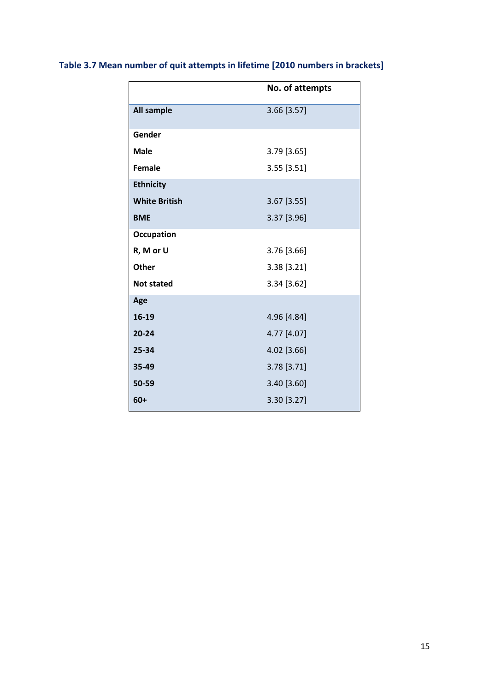## **Table 3.7 Mean number of quit attempts in lifetime [2010 numbers in brackets]**

|                      | No. of attempts |
|----------------------|-----------------|
| <b>All sample</b>    | 3.66 [3.57]     |
| Gender               |                 |
| <b>Male</b>          | 3.79 [3.65]     |
| <b>Female</b>        | 3.55 [3.51]     |
| <b>Ethnicity</b>     |                 |
| <b>White British</b> | 3.67 [3.55]     |
| <b>BME</b>           | 3.37 [3.96]     |
| <b>Occupation</b>    |                 |
| R, M or U            | 3.76 [3.66]     |
| Other                | 3.38 [3.21]     |
| <b>Not stated</b>    | 3.34 [3.62]     |
| Age                  |                 |
| 16-19                | 4.96 [4.84]     |
| $20 - 24$            | 4.77 [4.07]     |
| 25-34                | 4.02 [3.66]     |
| 35-49                | 3.78 [3.71]     |
| 50-59                | 3.40 [3.60]     |
| $60+$                | 3.30 [3.27]     |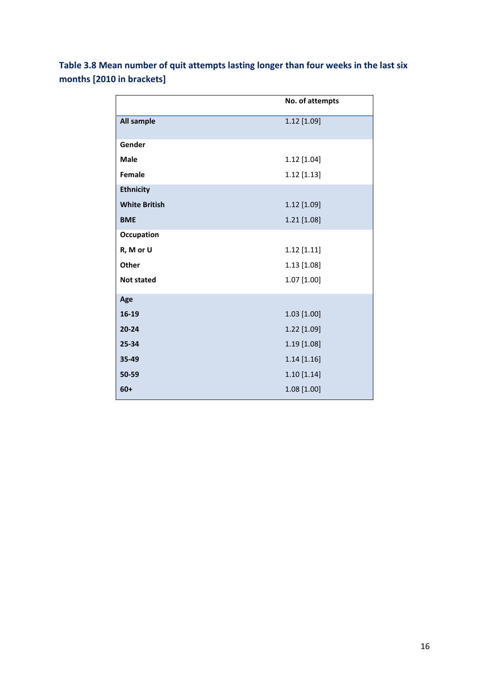| Table 3.8 Mean number of quit attempts lasting longer than four weeks in the last six |  |  |
|---------------------------------------------------------------------------------------|--|--|
| months [2010 in brackets]                                                             |  |  |

|                      | No. of attempts |
|----------------------|-----------------|
| All sample           | 1.12 [1.09]     |
| Gender               |                 |
| <b>Male</b>          | 1.12 [1.04]     |
| Female               | $1.12$ [1.13]   |
| <b>Ethnicity</b>     |                 |
| <b>White British</b> | 1.12 [1.09]     |
| <b>BME</b>           | 1.21 [1.08]     |
| <b>Occupation</b>    |                 |
| R, M or U            | $1.12$ [1.11]   |
| Other                | $1.13$ [1.08]   |
| <b>Not stated</b>    | 1.07 [1.00]     |
| Age                  |                 |
| 16-19                | $1.03$ [1.00]   |
| $20 - 24$            | 1.22 [1.09]     |
| 25-34                | 1.19 [1.08]     |
| 35-49                | $1.14$ [1.16]   |
| 50-59                | 1.10 [1.14]     |
| $60+$                | 1.08 [1.00]     |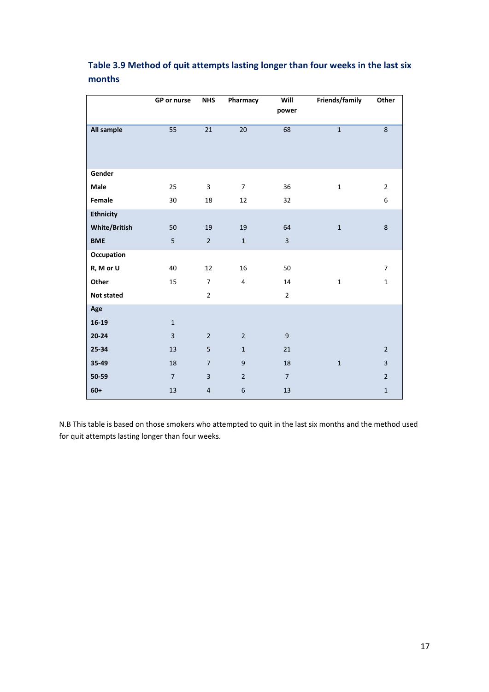|                      | GP or nurse    | <b>NHS</b>     | Pharmacy                | Will<br>power  | Friends/family | Other                   |
|----------------------|----------------|----------------|-------------------------|----------------|----------------|-------------------------|
| All sample           | 55             | 21             | 20                      | 68             | $\mathbf{1}$   | $\bf 8$                 |
| Gender               |                |                |                         |                |                |                         |
| Male                 | 25             | 3              | $\overline{7}$          | 36             | $\mathbf 1$    | $\overline{2}$          |
| Female               | 30             | 18             | 12                      | 32             |                | 6                       |
| <b>Ethnicity</b>     |                |                |                         |                |                |                         |
| <b>White/British</b> | 50             | 19             | 19                      | 64             | $\mathbf 1$    | 8                       |
| <b>BME</b>           | 5              | $\overline{2}$ | $\mathbf{1}$            | $\overline{3}$ |                |                         |
| Occupation           |                |                |                         |                |                |                         |
| R, M or U            | 40             | 12             | 16                      | 50             |                | $\overline{7}$          |
| Other                | 15             | $\overline{7}$ | $\overline{\mathbf{4}}$ | 14             | $\mathbf{1}$   | $\mathbf{1}$            |
| <b>Not stated</b>    |                | $\overline{2}$ |                         | $\overline{2}$ |                |                         |
| Age                  |                |                |                         |                |                |                         |
| $16-19$              | $\mathbf{1}$   |                |                         |                |                |                         |
| $20 - 24$            | $\overline{3}$ | $\overline{2}$ | $\overline{2}$          | $9\,$          |                |                         |
| 25-34                | 13             | 5              | $\mathbf{1}$            | 21             |                | $\overline{2}$          |
| 35-49                | 18             | $\overline{7}$ | $\boldsymbol{9}$        | 18             | $\mathbf 1$    | $\overline{\mathbf{3}}$ |
| 50-59                | $\overline{7}$ | $\overline{3}$ | $\overline{2}$          | $\overline{7}$ |                | $\mathbf 2$             |
| $60+$                | 13             | $\overline{4}$ | 6                       | 13             |                | $\mathbf 1$             |

## **Table 3.9 Method of quit attempts lasting longer than four weeks in the last six months**

N.B This table is based on those smokers who attempted to quit in the last six months and the method used for quit attempts lasting longer than four weeks.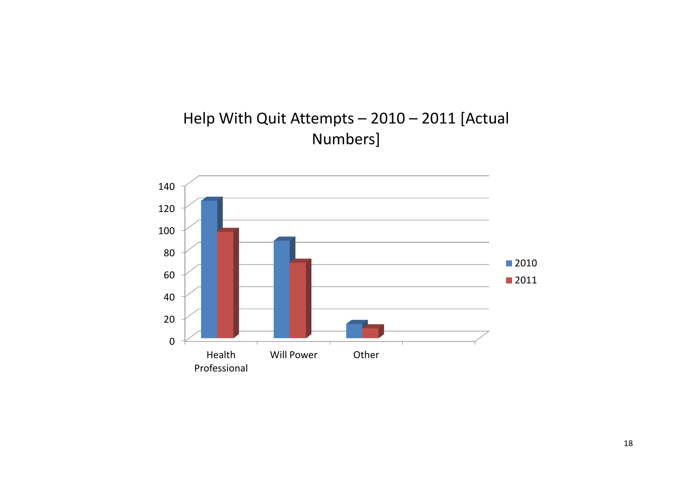

# Help With Quit Attempts – 2010 – 2011 [Actual Numbers]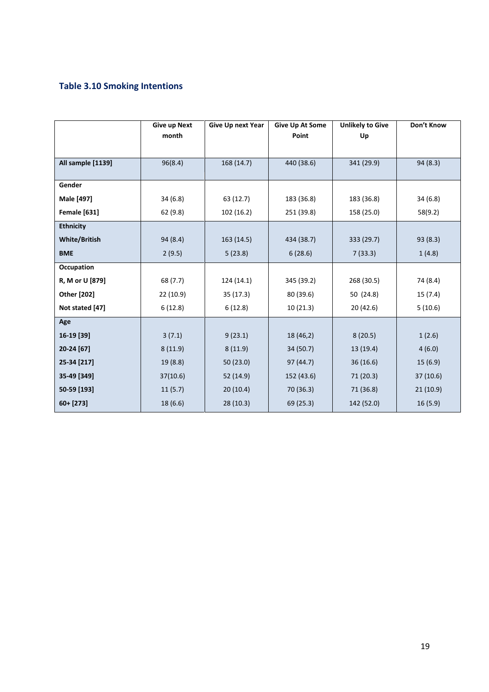## **Table 3.10 Smoking Intentions**

|                      | <b>Give up Next</b><br>month | <b>Give Up next Year</b> | <b>Give Up At Some</b><br>Point | <b>Unlikely to Give</b><br>Up | Don't Know |
|----------------------|------------------------------|--------------------------|---------------------------------|-------------------------------|------------|
| All sample [1139]    | 96(8.4)                      | 168 (14.7)               | 440 (38.6)<br>341 (29.9)        |                               | 94 (8.3)   |
| Gender               |                              |                          |                                 |                               |            |
| Male [497]           | 34(6.8)                      | 63 (12.7)                | 183 (36.8)                      | 183 (36.8)                    | 34(6.8)    |
| <b>Female</b> [631]  | 62 (9.8)                     | 102 (16.2)               | 251 (39.8)                      | 158 (25.0)                    | 58(9.2)    |
| <b>Ethnicity</b>     |                              |                          |                                 |                               |            |
| <b>White/British</b> | 94 (8.4)                     | 163 (14.5)               | 434 (38.7)                      | 333 (29.7)                    | 93(8.3)    |
| <b>BME</b>           | 2(9.5)                       | 5(23.8)                  | 6(28.6)                         | 7(33.3)                       | 1(4.8)     |
| Occupation           |                              |                          |                                 |                               |            |
| R, M or U [879]      | 68 (7.7)                     | 124 (14.1)               | 345 (39.2)                      | 268 (30.5)                    | 74 (8.4)   |
| Other [202]          | 22 (10.9)                    | 35 (17.3)                | 80 (39.6)                       | 50 (24.8)                     | 15 (7.4)   |
| Not stated [47]      | 6(12.8)                      | 6(12.8)                  | 10(21.3)                        | 20 (42.6)                     | 5(10.6)    |
| Age                  |                              |                          |                                 |                               |            |
| 16-19 [39]           | 3(7.1)                       | 9(23.1)                  | 18 (46,2)                       | 8(20.5)                       | 1(2.6)     |
| 20-24 [67]           | 8(11.9)                      | 8(11.9)                  | 34 (50.7)                       | 13 (19.4)                     | 4(6.0)     |
| 25-34 [217]          | 19 (8.8)                     | 50 (23.0)                | 97(44.7)                        | 36(16.6)                      | 15(6.9)    |
| 35-49 [349]          | 37(10.6)                     | 52 (14.9)                | 152 (43.6)                      | 71 (20.3)                     | 37(10.6)   |
| 50-59 [193]          | 11(5.7)                      | 20(10.4)                 | 70 (36.3)                       | 71 (36.8)                     | 21(10.9)   |
| $60 + [273]$         | 18 (6.6)                     | 28 (10.3)                | 69 (25.3)                       | 142 (52.0)                    | 16(5.9)    |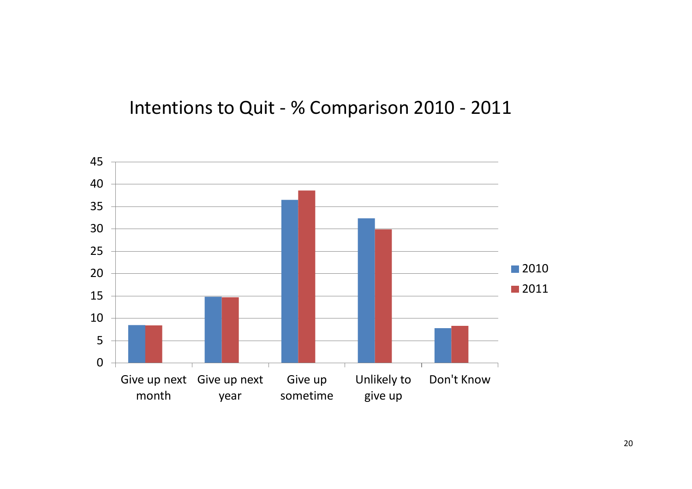# Intentions to Quit - % Comparison 2010 - 2011

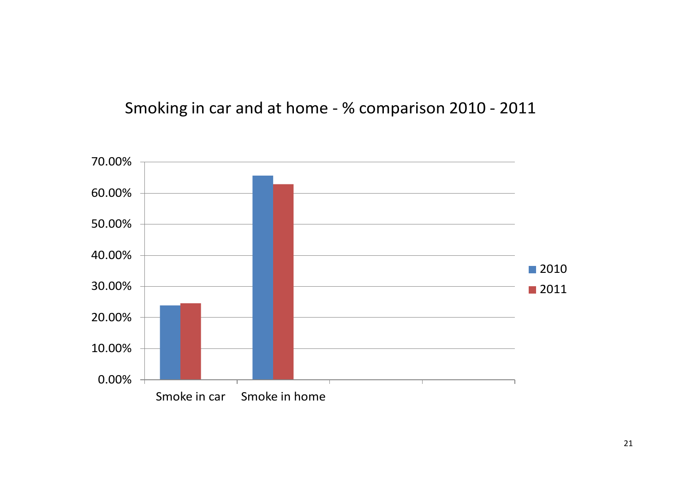# Smoking in car and at home - % comparison 2010 - 2011

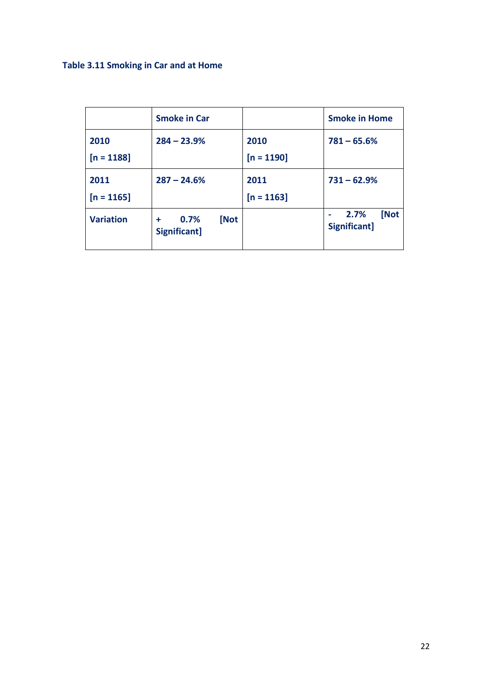## **Table 3.11 Smoking in Car and at Home**

|                      | <b>Smoke in Car</b>               |                      | <b>Smoke in Home</b>         |
|----------------------|-----------------------------------|----------------------|------------------------------|
| 2010<br>$[n = 1188]$ | $284 - 23.9%$                     | 2010<br>$[n = 1190]$ | $781 - 65.6%$                |
| 2011<br>$[n = 1165]$ | $287 - 24.6%$                     | 2011<br>$[n = 1163]$ | $731 - 62.9%$                |
| <b>Variation</b>     | [Not<br>0.7%<br>÷<br>Significant] |                      | [Not<br>2.7%<br>Significant] |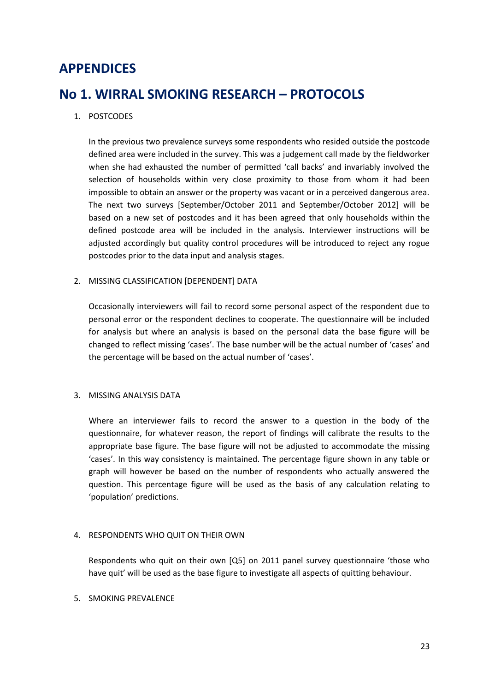## **APPENDICES**

## **No 1. WIRRAL SMOKING RESEARCH – PROTOCOLS**

### 1. POSTCODES

In the previous two prevalence surveys some respondents who resided outside the postcode defined area were included in the survey. This was a judgement call made by the fieldworker when she had exhausted the number of permitted 'call backs' and invariably involved the selection of households within very close proximity to those from whom it had been impossible to obtain an answer or the property was vacant or in a perceived dangerous area. The next two surveys [September/October 2011 and September/October 2012] will be based on a new set of postcodes and it has been agreed that only households within the defined postcode area will be included in the analysis. Interviewer instructions will be adjusted accordingly but quality control procedures will be introduced to reject any rogue postcodes prior to the data input and analysis stages.

#### 2. MISSING CLASSIFICATION [DEPENDENT] DATA

Occasionally interviewers will fail to record some personal aspect of the respondent due to personal error or the respondent declines to cooperate. The questionnaire will be included for analysis but where an analysis is based on the personal data the base figure will be changed to reflect missing 'cases'. The base number will be the actual number of 'cases' and the percentage will be based on the actual number of 'cases'.

#### 3. MISSING ANALYSIS DATA

Where an interviewer fails to record the answer to a question in the body of the questionnaire, for whatever reason, the report of findings will calibrate the results to the appropriate base figure. The base figure will not be adjusted to accommodate the missing 'cases'. In this way consistency is maintained. The percentage figure shown in any table or graph will however be based on the number of respondents who actually answered the question. This percentage figure will be used as the basis of any calculation relating to 'population' predictions.

#### 4. RESPONDENTS WHO QUIT ON THEIR OWN

Respondents who quit on their own  $[Q5]$  on 2011 panel survey questionnaire 'those who have quit' will be used as the base figure to investigate all aspects of quitting behaviour.

#### 5. SMOKING PREVALENCE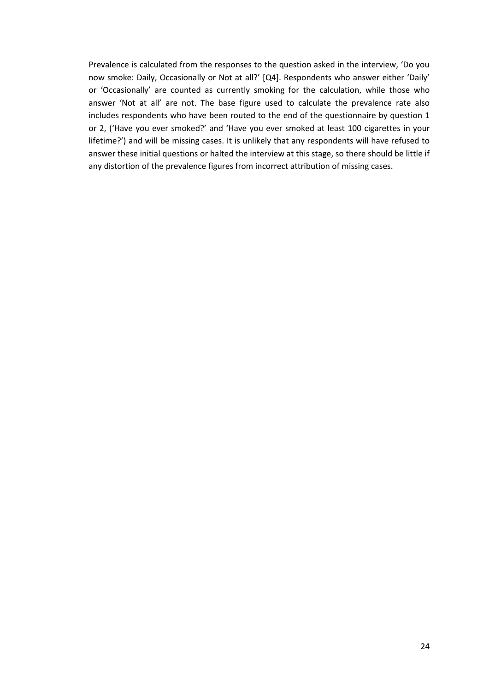Prevalence is calculated from the responses to the question asked in the interview, 'Do you now smoke: Daily, Occasionally or Not at all?' [Q4]. Respondents who answer either 'Daily' or 'Occasionally' are counted as currently smoking for the calculation, while those who answer 'Not at all' are not. The base figure used to calculate the prevalence rate also includes respondents who have been routed to the end of the questionnaire by question 1 or 2, ('Have you ever smoked?' and 'Have you ever smoked at least 100 cigarettes in your lifetime?') and will be missing cases. It is unlikely that any respondents will have refused to answer these initial questions or halted the interview at this stage, so there should be little if any distortion of the prevalence figures from incorrect attribution of missing cases.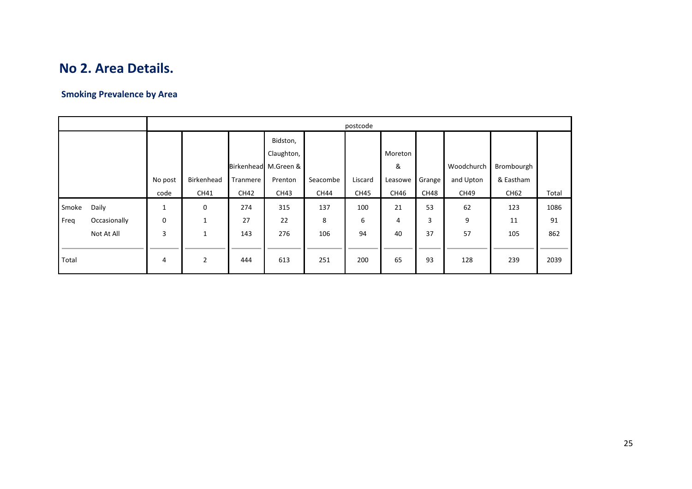## **No 2. Area Details.**

## **Smoking Prevalence by Area**

|       |              | postcode |                |             |                      |          |             |         |        |            |            |       |  |
|-------|--------------|----------|----------------|-------------|----------------------|----------|-------------|---------|--------|------------|------------|-------|--|
|       |              |          |                |             | Bidston,             |          |             |         |        |            |            |       |  |
|       |              |          |                |             | Claughton,           |          |             | Moreton |        |            |            |       |  |
|       |              |          |                |             | Birkenhead M.Green & |          |             | &       |        | Woodchurch | Brombourgh |       |  |
|       |              | No post  | Birkenhead     | Tranmere    | Prenton              | Seacombe | Liscard     | Leasowe | Grange | and Upton  | & Eastham  |       |  |
|       |              | code     | CH41           | <b>CH42</b> | CH43                 | CH44     | <b>CH45</b> | CH46    | CH48   | CH49       | CH62       | Total |  |
| Smoke | Daily        | 1        | $\mathbf 0$    | 274         | 315                  | 137      | 100         | 21      | 53     | 62         | 123        | 1086  |  |
| Freq  | Occasionally | 0        | 1              | 27          | 22                   | 8        | 6           | 4       | 3      | 9          | 11         | 91    |  |
|       | Not At All   | 3        | 1              | 143         | 276                  | 106      | 94          | 40      | 37     | 57         | 105        | 862   |  |
|       |              |          |                |             |                      |          |             |         |        |            |            |       |  |
| Total |              | 4        | $\overline{2}$ | 444         | 613                  | 251      | 200         | 65      | 93     | 128        | 239        | 2039  |  |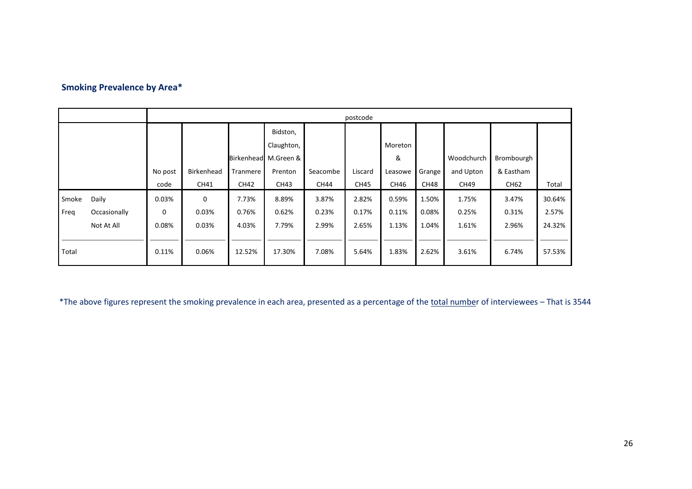## **Smoking Prevalence by Area\***

|       |              | postcode |             |          |                      |             |             |         |        |            |            |        |
|-------|--------------|----------|-------------|----------|----------------------|-------------|-------------|---------|--------|------------|------------|--------|
|       |              |          |             |          | Bidston,             |             |             |         |        |            |            |        |
|       |              |          |             |          | Claughton,           |             |             | Moreton |        |            |            |        |
|       |              |          |             |          | Birkenhead M.Green & |             |             | &       |        | Woodchurch | Brombourgh |        |
|       |              | No post  | Birkenhead  | Tranmere | Prenton              | Seacombe    | Liscard     | Leasowe | Grange | and Upton  | & Eastham  |        |
|       |              | code     | CH41        | CH42     | CH43                 | <b>CH44</b> | <b>CH45</b> | CH46    | CH48   | CH49       | CH62       | Total  |
| Smoke | Daily        | 0.03%    | $\mathbf 0$ | 7.73%    | 8.89%                | 3.87%       | 2.82%       | 0.59%   | 1.50%  | 1.75%      | 3.47%      | 30.64% |
| Freq  | Occasionally | 0        | 0.03%       | 0.76%    | 0.62%                | 0.23%       | 0.17%       | 0.11%   | 0.08%  | 0.25%      | 0.31%      | 2.57%  |
|       | Not At All   | 0.08%    | 0.03%       | 4.03%    | 7.79%                | 2.99%       | 2.65%       | 1.13%   | 1.04%  | 1.61%      | 2.96%      | 24.32% |
|       |              |          |             |          |                      |             |             |         |        |            |            |        |
| Total |              | 0.11%    | 0.06%       | 12.52%   | 17.30%               | 7.08%       | 5.64%       | 1.83%   | 2.62%  | 3.61%      | 6.74%      | 57.53% |
|       |              |          |             |          |                      |             |             |         |        |            |            |        |

\*The above figures represent the smoking prevalence in each area, presented as a percentage of the total number of interviewees – That is 3544